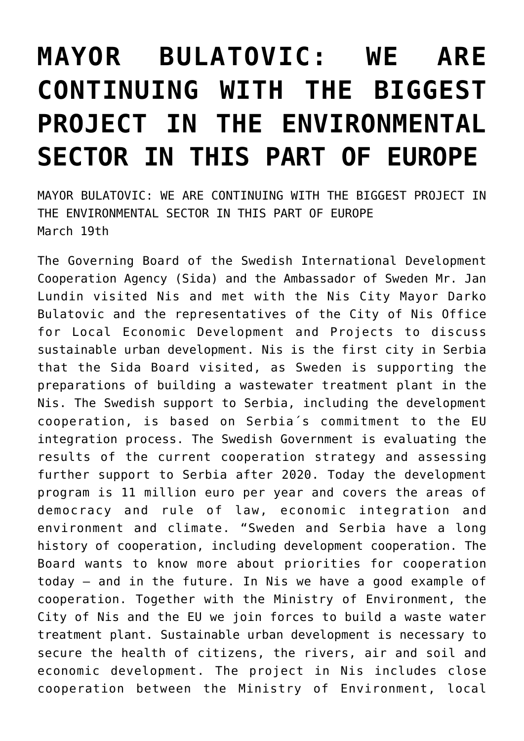## **[MAYOR BULATOVIC: WE ARE](https://www.gu.ni.rs/2019/03/19/mayor-bulatovic-we-are-continuing-with-the-biggest-project-in-the-environmental-sector-in-this-part-of-europe/) [CONTINUING WITH THE BIGGEST](https://www.gu.ni.rs/2019/03/19/mayor-bulatovic-we-are-continuing-with-the-biggest-project-in-the-environmental-sector-in-this-part-of-europe/) [PROJECT IN THE ENVIRONMENTAL](https://www.gu.ni.rs/2019/03/19/mayor-bulatovic-we-are-continuing-with-the-biggest-project-in-the-environmental-sector-in-this-part-of-europe/) [SECTOR IN THIS PART OF EUROPE](https://www.gu.ni.rs/2019/03/19/mayor-bulatovic-we-are-continuing-with-the-biggest-project-in-the-environmental-sector-in-this-part-of-europe/)**

MAYOR BULATOVIC: WE ARE CONTINUING WITH THE BIGGEST PROJECT IN THE ENVIRONMENTAL SECTOR IN THIS PART OF EUROPE March 19th

The Governing Board of the Swedish International Development Cooperation Agency (Sida) and the Ambassador of Sweden Mr. Jan Lundin visited Nis and met with the Nis City Mayor Darko Bulatovic and the representatives of the City of Nis Office for Local Economic Development and Projects to discuss sustainable urban development. Nis is the first city in Serbia that the Sida Board visited, as Sweden is supporting the preparations of building a wastewater treatment plant in the Nis. The Swedish support to Serbia, including the development cooperation, is based on Serbia´s commitment to the EU integration process. The Swedish Government is evaluating the results of the current cooperation strategy and assessing further support to Serbia after 2020. Today the development program is 11 million euro per year and covers the areas of democracy and rule of law, economic integration and environment and climate. "Sweden and Serbia have a long history of cooperation, including development cooperation. The Board wants to know more about priorities for cooperation today – and in the future. In Nis we have a good example of cooperation. Together with the Ministry of Environment, the City of Nis and the EU we join forces to build a waste water treatment plant. Sustainable urban development is necessary to secure the health of citizens, the rivers, air and soil and economic development. The project in Nis includes close cooperation between the Ministry of Environment, local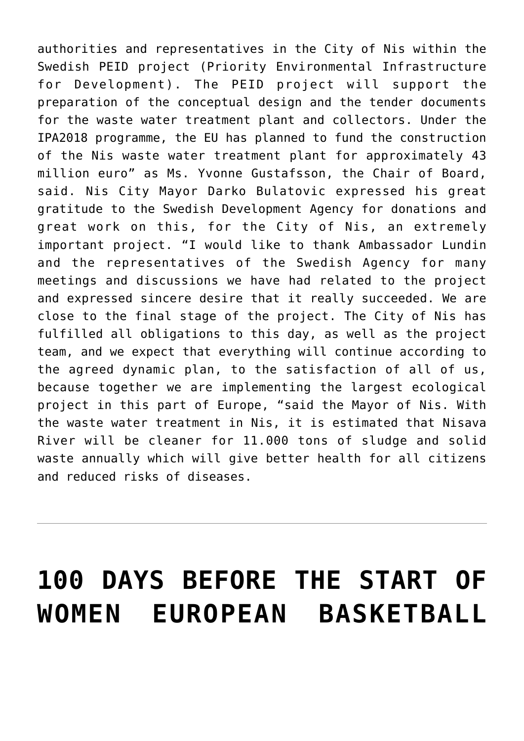authorities and representatives in the City of Nis within the Swedish PEID project (Priority Environmental Infrastructure for Development). The PEID project will support the preparation of the conceptual design and the tender documents for the waste water treatment plant and collectors. Under the IPA2018 programme, the EU has planned to fund the construction of the Nis waste water treatment plant for approximately 43 million euro" as Ms. Yvonne Gustafsson, the Chair of Board, said. Nis City Mayor Darko Bulatovic expressed his great gratitude to the Swedish Development Agency for donations and great work on this, for the City of Nis, an extremely important project. "I would like to thank Ambassador Lundin and the representatives of the Swedish Agency for many meetings and discussions we have had related to the project and expressed sincere desire that it really succeeded. We are close to the final stage of the project. The City of Nis has fulfilled all obligations to this day, as well as the project team, and we expect that everything will continue according to the agreed dynamic plan, to the satisfaction of all of us, because together we are implementing the largest ecological project in this part of Europe, "said the Mayor of Nis. With the waste water treatment in Nis, it is estimated that Nisava River will be cleaner for 11.000 tons of sludge and solid waste annually which will give better health for all citizens and reduced risks of diseases.

## **[100 DAYS BEFORE THE START OF](https://www.gu.ni.rs/2019/03/19/100-days-before-the-start-of-women-european-basketball-championship/) [WOMEN EUROPEAN BASKETBALL](https://www.gu.ni.rs/2019/03/19/100-days-before-the-start-of-women-european-basketball-championship/)**